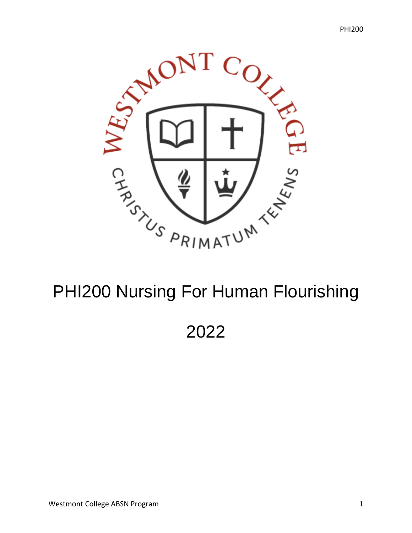

# PHI200 Nursing For Human Flourishing

2022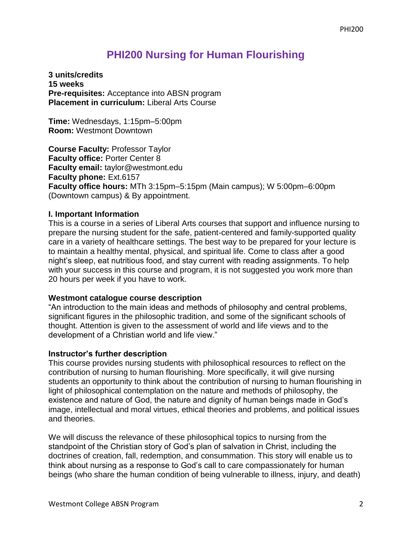# **PHI200 Nursing for Human Flourishing**

**3 units/credits 15 weeks Pre-requisites:** Acceptance into ABSN program **Placement in curriculum:** Liberal Arts Course

**Time:** Wednesdays, 1:15pm–5:00pm **Room:** Westmont Downtown

**Course Faculty:** Professor Taylor **Faculty office:** Porter Center 8 **Faculty email:** taylor@westmont.edu **Faculty phone:** Ext.6157 **Faculty office hours:** MTh 3:15pm–5:15pm (Main campus); W 5:00pm–6:00pm (Downtown campus) & By appointment.

#### **I. Important Information**

This is a course in a series of Liberal Arts courses that support and influence nursing to prepare the nursing student for the safe, patient-centered and family-supported quality care in a variety of healthcare settings. The best way to be prepared for your lecture is to maintain a healthy mental, physical, and spiritual life. Come to class after a good night's sleep, eat nutritious food, and stay current with reading assignments. To help with your success in this course and program, it is not suggested you work more than 20 hours per week if you have to work.

#### **Westmont catalogue course description**

"An introduction to the main ideas and methods of philosophy and central problems, significant figures in the philosophic tradition, and some of the significant schools of thought. Attention is given to the assessment of world and life views and to the development of a Christian world and life view."

#### **Instructor's further description**

This course provides nursing students with philosophical resources to reflect on the contribution of nursing to human flourishing. More specifically, it will give nursing students an opportunity to think about the contribution of nursing to human flourishing in light of philosophical contemplation on the nature and methods of philosophy, the existence and nature of God, the nature and dignity of human beings made in God's image, intellectual and moral virtues, ethical theories and problems, and political issues and theories.

We will discuss the relevance of these philosophical topics to nursing from the standpoint of the Christian story of God's plan of salvation in Christ, including the doctrines of creation, fall, redemption, and consummation. This story will enable us to think about nursing as a response to God's call to care compassionately for human beings (who share the human condition of being vulnerable to illness, injury, and death)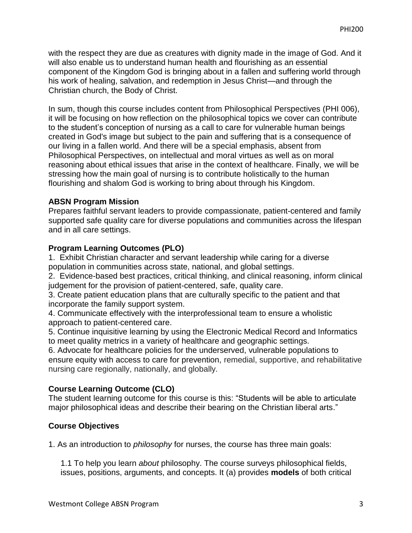with the respect they are due as creatures with dignity made in the image of God. And it will also enable us to understand human health and flourishing as an essential component of the Kingdom God is bringing about in a fallen and suffering world through his work of healing, salvation, and redemption in Jesus Christ—and through the Christian church, the Body of Christ.

In sum, though this course includes content from Philosophical Perspectives (PHI 006), it will be focusing on how reflection on the philosophical topics we cover can contribute to the student's conception of nursing as a call to care for vulnerable human beings created in God's image but subject to the pain and suffering that is a consequence of our living in a fallen world. And there will be a special emphasis, absent from Philosophical Perspectives, on intellectual and moral virtues as well as on moral reasoning about ethical issues that arise in the context of healthcare. Finally, we will be stressing how the main goal of nursing is to contribute holistically to the human flourishing and shalom God is working to bring about through his Kingdom.

#### **ABSN Program Mission**

Prepares faithful servant leaders to provide compassionate, patient-centered and family supported safe quality care for diverse populations and communities across the lifespan and in all care settings.

#### **Program Learning Outcomes (PLO)**

1. Exhibit Christian character and servant leadership while caring for a diverse population in communities across state, national, and global settings.

2. Evidence-based best practices, critical thinking, and clinical reasoning, inform clinical judgement for the provision of patient-centered, safe, quality care.

3. Create patient education plans that are culturally specific to the patient and that incorporate the family support system.

4. Communicate effectively with the interprofessional team to ensure a wholistic approach to patient-centered care.

5. Continue inquisitive learning by using the Electronic Medical Record and Informatics to meet quality metrics in a variety of healthcare and geographic settings.

6. Advocate for healthcare policies for the underserved, vulnerable populations to ensure equity with access to care for prevention, remedial, supportive, and rehabilitative nursing care regionally, nationally, and globally.

# **Course Learning Outcome (CLO)**

The student learning outcome for this course is this: "Students will be able to articulate major philosophical ideas and describe their bearing on the Christian liberal arts."

# **Course Objectives**

1. As an introduction to *philosophy* for nurses, the course has three main goals:

1.1 To help you learn *about* philosophy. The course surveys philosophical fields, issues, positions, arguments, and concepts. It (a) provides **models** of both critical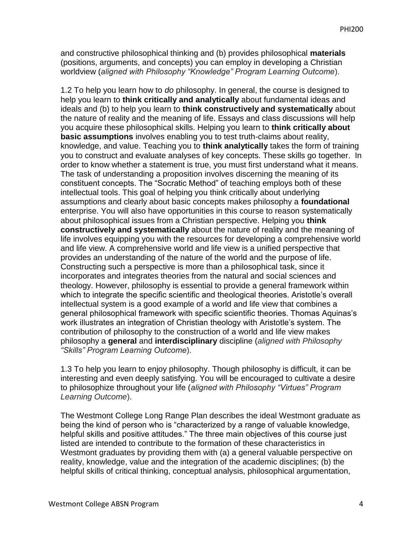and constructive philosophical thinking and (b) provides philosophical **materials** (positions, arguments, and concepts) you can employ in developing a Christian worldview (*aligned with Philosophy "Knowledge" Program Learning Outcome*).

1.2 To help you learn how to *do* philosophy. In general, the course is designed to help you learn to **think critically and analytically** about fundamental ideas and ideals and (b) to help you learn to **think constructively and systematically** about the nature of reality and the meaning of life. Essays and class discussions will help you acquire these philosophical skills. Helping you learn to **think critically about basic assumptions** involves enabling you to test truth-claims about reality, knowledge, and value. Teaching you to **think analytically** takes the form of training you to construct and evaluate analyses of key concepts. These skills go together. In order to know whether a statement is true, you must first understand what it means. The task of understanding a proposition involves discerning the meaning of its constituent concepts. The "Socratic Method" of teaching employs both of these intellectual tools. This goal of helping you think critically about underlying assumptions and clearly about basic concepts makes philosophy a **foundational** enterprise. You will also have opportunities in this course to reason systematically about philosophical issues from a Christian perspective. Helping you **think constructively and systematically** about the nature of reality and the meaning of life involves equipping you with the resources for developing a comprehensive world and life view. A comprehensive world and life view is a unified perspective that provides an understanding of the nature of the world and the purpose of life. Constructing such a perspective is more than a philosophical task, since it incorporates and integrates theories from the natural and social sciences and theology. However, philosophy is essential to provide a general framework within which to integrate the specific scientific and theological theories. Aristotle's overall intellectual system is a good example of a world and life view that combines a general philosophical framework with specific scientific theories. Thomas Aquinas's work illustrates an integration of Christian theology with Aristotle's system. The contribution of philosophy to the construction of a world and life view makes philosophy a **general** and **interdisciplinary** discipline (*aligned with Philosophy "Skills" Program Learning Outcome*).

1.3 To help you learn to enjoy philosophy. Though philosophy is difficult, it can be interesting and even deeply satisfying. You will be encouraged to cultivate a desire to philosophize throughout your life (*aligned with Philosophy "Virtues" Program Learning Outcome*).

The Westmont College Long Range Plan describes the ideal Westmont graduate as being the kind of person who is "characterized by a range of valuable knowledge, helpful skills and positive attitudes." The three main objectives of this course just listed are intended to contribute to the formation of these characteristics in Westmont graduates by providing them with (a) a general valuable perspective on reality, knowledge, value and the integration of the academic disciplines; (b) the helpful skills of critical thinking, conceptual analysis, philosophical argumentation,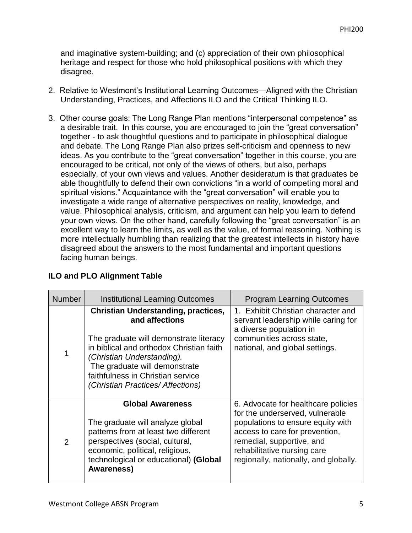and imaginative system-building; and (c) appreciation of their own philosophical heritage and respect for those who hold philosophical positions with which they disagree.

- 2. Relative to Westmont's Institutional Learning Outcomes—Aligned with the Christian Understanding, Practices, and Affections ILO and the Critical Thinking ILO.
- 3. Other course goals: The Long Range Plan mentions "interpersonal competence" as a desirable trait. In this course, you are encouraged to join the "great conversation" together - to ask thoughtful questions and to participate in philosophical dialogue and debate. The Long Range Plan also prizes self-criticism and openness to new ideas. As you contribute to the "great conversation" together in this course, you are encouraged to be critical, not only of the views of others, but also, perhaps especially, of your own views and values. Another desideratum is that graduates be able thoughtfully to defend their own convictions "in a world of competing moral and spiritual visions." Acquaintance with the "great conversation" will enable you to investigate a wide range of alternative perspectives on reality, knowledge, and value. Philosophical analysis, criticism, and argument can help you learn to defend your own views. On the other hand, carefully following the "great conversation" is an excellent way to learn the limits, as well as the value, of formal reasoning. Nothing is more intellectually humbling than realizing that the greatest intellects in history have disagreed about the answers to the most fundamental and important questions facing human beings.

| <b>Number</b> | <b>Institutional Learning Outcomes</b>                                                                                                                                                                                                                                                      | <b>Program Learning Outcomes</b>                                                                                                                                                                                                                   |
|---------------|---------------------------------------------------------------------------------------------------------------------------------------------------------------------------------------------------------------------------------------------------------------------------------------------|----------------------------------------------------------------------------------------------------------------------------------------------------------------------------------------------------------------------------------------------------|
| 1             | <b>Christian Understanding, practices,</b><br>and affections<br>The graduate will demonstrate literacy<br>in biblical and orthodox Christian faith<br>(Christian Understanding).<br>The graduate will demonstrate<br>faithfulness in Christian service<br>(Christian Practices/ Affections) | 1. Exhibit Christian character and<br>servant leadership while caring for<br>a diverse population in<br>communities across state,<br>national, and global settings.                                                                                |
| 2             | <b>Global Awareness</b><br>The graduate will analyze global<br>patterns from at least two different<br>perspectives (social, cultural,<br>economic, political, religious,<br>technological or educational) (Global<br><b>Awareness)</b>                                                     | 6. Advocate for healthcare policies<br>for the underserved, vulnerable<br>populations to ensure equity with<br>access to care for prevention,<br>remedial, supportive, and<br>rehabilitative nursing care<br>regionally, nationally, and globally. |

# **ILO and PLO Alignment Table**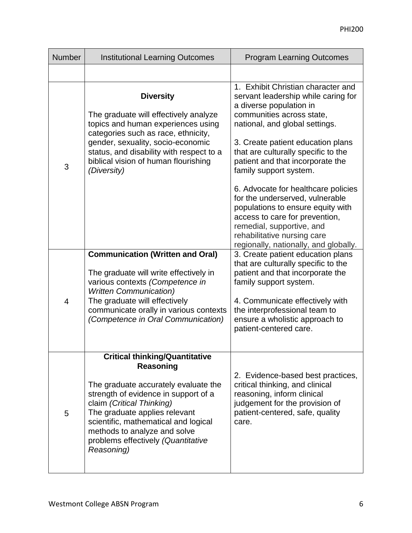| <b>Number</b> | <b>Institutional Learning Outcomes</b>                                                                                                                                                                                                                                                                                       | <b>Program Learning Outcomes</b>                                                                                                                                                                                                                                                                                                                                                                                                                                                                                           |
|---------------|------------------------------------------------------------------------------------------------------------------------------------------------------------------------------------------------------------------------------------------------------------------------------------------------------------------------------|----------------------------------------------------------------------------------------------------------------------------------------------------------------------------------------------------------------------------------------------------------------------------------------------------------------------------------------------------------------------------------------------------------------------------------------------------------------------------------------------------------------------------|
|               |                                                                                                                                                                                                                                                                                                                              |                                                                                                                                                                                                                                                                                                                                                                                                                                                                                                                            |
| 3             | <b>Diversity</b><br>The graduate will effectively analyze<br>topics and human experiences using<br>categories such as race, ethnicity,<br>gender, sexuality, socio-economic<br>status, and disability with respect to a<br>biblical vision of human flourishing<br>(Diversity)                                               | 1. Exhibit Christian character and<br>servant leadership while caring for<br>a diverse population in<br>communities across state,<br>national, and global settings.<br>3. Create patient education plans<br>that are culturally specific to the<br>patient and that incorporate the<br>family support system.<br>6. Advocate for healthcare policies<br>for the underserved, vulnerable<br>populations to ensure equity with<br>access to care for prevention,<br>remedial, supportive, and<br>rehabilitative nursing care |
| 4             | <b>Communication (Written and Oral)</b><br>The graduate will write effectively in<br>various contexts (Competence in<br><b>Written Communication)</b><br>The graduate will effectively<br>communicate orally in various contexts<br>(Competence in Oral Communication)                                                       | regionally, nationally, and globally.<br>3. Create patient education plans<br>that are culturally specific to the<br>patient and that incorporate the<br>family support system.<br>4. Communicate effectively with<br>the interprofessional team to<br>ensure a wholistic approach to<br>patient-centered care.                                                                                                                                                                                                            |
| 5             | <b>Critical thinking/Quantitative</b><br>Reasoning<br>The graduate accurately evaluate the<br>strength of evidence in support of a<br>claim (Critical Thinking)<br>The graduate applies relevant<br>scientific, mathematical and logical<br>methods to analyze and solve<br>problems effectively (Quantitative<br>Reasoning) | 2. Evidence-based best practices,<br>critical thinking, and clinical<br>reasoning, inform clinical<br>judgement for the provision of<br>patient-centered, safe, quality<br>care.                                                                                                                                                                                                                                                                                                                                           |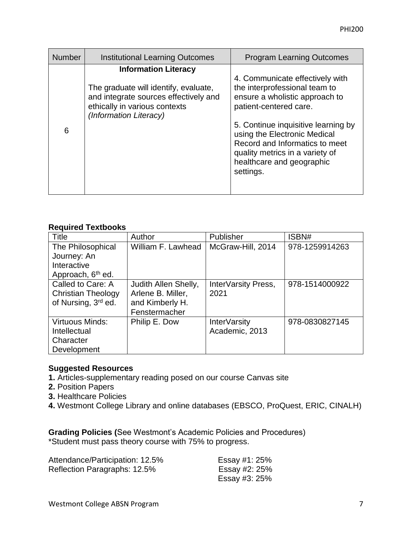| <b>Number</b> | <b>Institutional Learning Outcomes</b>                                                                                                                                   | <b>Program Learning Outcomes</b>                                                                                                                                                                                                                                                                                   |
|---------------|--------------------------------------------------------------------------------------------------------------------------------------------------------------------------|--------------------------------------------------------------------------------------------------------------------------------------------------------------------------------------------------------------------------------------------------------------------------------------------------------------------|
| 6             | <b>Information Literacy</b><br>The graduate will identify, evaluate,<br>and integrate sources effectively and<br>ethically in various contexts<br>(Information Literacy) | 4. Communicate effectively with<br>the interprofessional team to<br>ensure a wholistic approach to<br>patient-centered care.<br>5. Continue inquisitive learning by<br>using the Electronic Medical<br>Record and Informatics to meet<br>quality metrics in a variety of<br>healthcare and geographic<br>settings. |

#### **Required Textbooks**

| Title                         | Author               | Publisher           | ISBN#          |
|-------------------------------|----------------------|---------------------|----------------|
| The Philosophical             | William F. Lawhead   | McGraw-Hill, 2014   | 978-1259914263 |
| Journey: An                   |                      |                     |                |
| Interactive                   |                      |                     |                |
| Approach, 6 <sup>th</sup> ed. |                      |                     |                |
| Called to Care: A             | Judith Allen Shelly, | InterVarsity Press, | 978-1514000922 |
| <b>Christian Theology</b>     | Arlene B. Miller,    | 2021                |                |
| of Nursing, 3rd ed.           | and Kimberly H.      |                     |                |
|                               | Fenstermacher        |                     |                |
| <b>Virtuous Minds:</b>        | Philip E. Dow        | InterVarsity        | 978-0830827145 |
| Intellectual                  |                      | Academic, 2013      |                |
| Character                     |                      |                     |                |
| Development                   |                      |                     |                |

#### **Suggested Resources**

- **1.** Articles-supplementary reading posed on our course Canvas site
- **2.** Position Papers
- **3.** Healthcare Policies
- **4.** Westmont College Library and online databases (EBSCO, ProQuest, ERIC, CINALH)

**Grading Policies (**See Westmont's Academic Policies and Procedures) \*Student must pass theory course with 75% to progress.

| Attendance/Participation: 12.5% | Essay #1: 25% |
|---------------------------------|---------------|
| Reflection Paragraphs: 12.5%    | Essay #2: 25% |
|                                 | Essay #3: 25% |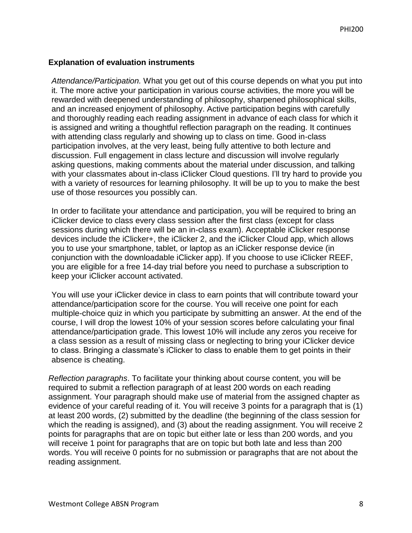#### **Explanation of evaluation instruments**

*Attendance/Participation.* What you get out of this course depends on what you put into it. The more active your participation in various course activities, the more you will be rewarded with deepened understanding of philosophy, sharpened philosophical skills, and an increased enjoyment of philosophy. Active participation begins with carefully and thoroughly reading each reading assignment in advance of each class for which it is assigned and writing a thoughtful reflection paragraph on the reading. It continues with attending class regularly and showing up to class on time. Good in-class participation involves, at the very least, being fully attentive to both lecture and discussion. Full engagement in class lecture and discussion will involve regularly asking questions, making comments about the material under discussion, and talking with your classmates about in-class iClicker Cloud questions. I'll try hard to provide you with a variety of resources for learning philosophy. It will be up to you to make the best use of those resources you possibly can.

In order to facilitate your attendance and participation, you will be required to bring an iClicker device to class every class session after the first class (except for class sessions during which there will be an in-class exam). Acceptable iClicker response devices include the iClicker+, the iClicker 2, and the iClicker Cloud app, which allows you to use your smartphone, tablet, or laptop as an iClicker response device (in conjunction with the downloadable iClicker app). If you choose to use iClicker REEF, you are eligible for a free 14-day trial before you need to purchase a subscription to keep your iClicker account activated.

You will use your iClicker device in class to earn points that will contribute toward your attendance/participation score for the course. You will receive one point for each multiple-choice quiz in which you participate by submitting an answer. At the end of the course, I will drop the lowest 10% of your session scores before calculating your final attendance/participation grade. This lowest 10% will include any zeros you receive for a class session as a result of missing class or neglecting to bring your iClicker device to class. Bringing a classmate's iClicker to class to enable them to get points in their absence is cheating.

*Reflection paragraphs*. To facilitate your thinking about course content, you will be required to submit a reflection paragraph of at least 200 words on each reading assignment. Your paragraph should make use of material from the assigned chapter as evidence of your careful reading of it. You will receive 3 points for a paragraph that is (1) at least 200 words, (2) submitted by the deadline (the beginning of the class session for which the reading is assigned), and (3) about the reading assignment. You will receive 2 points for paragraphs that are on topic but either late or less than 200 words, and you will receive 1 point for paragraphs that are on topic but both late and less than 200 words. You will receive 0 points for no submission or paragraphs that are not about the reading assignment.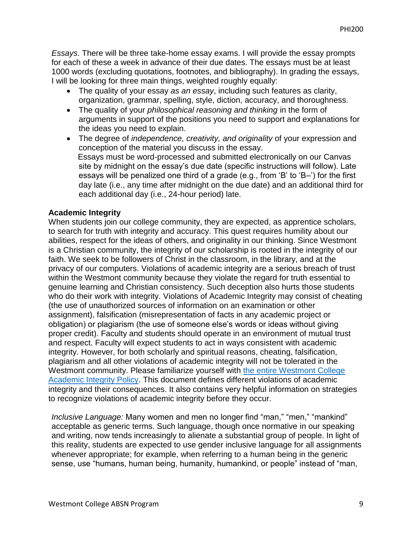*Essays*. There will be three take-home essay exams. I will provide the essay prompts for each of these a week in advance of their due dates. The essays must be at least 1000 words (excluding quotations, footnotes, and bibliography). In grading the essays, I will be looking for three main things, weighted roughly equally:

- The quality of your essay *as an essay*, including such features as clarity, organization, grammar, spelling, style, diction, accuracy, and thoroughness.
- The quality of your *philosophical reasoning and thinking* in the form of arguments in support of the positions you need to support and explanations for the ideas you need to explain.
- The degree of *independence, creativity, and originality* of your expression and conception of the material you discuss in the essay. Essays must be word-processed and submitted electronically on our Canvas site by midnight on the essay's due date (specific instructions will follow). Late essays will be penalized one third of a grade (e.g., from 'B' to 'B–') for the first day late (i.e., any time after midnight on the due date) and an additional third for each additional day (i.e., 24-hour period) late.

#### **Academic Integrity**

When students join our college community, they are expected, as apprentice scholars, to search for truth with integrity and accuracy. This quest requires humility about our abilities, respect for the ideas of others, and originality in our thinking. Since Westmont is a Christian community, the integrity of our scholarship is rooted in the integrity of our faith. We seek to be followers of Christ in the classroom, in the library, and at the privacy of our computers. Violations of academic integrity are a serious breach of trust within the Westmont community because they violate the regard for truth essential to genuine learning and Christian consistency. Such deception also hurts those students who do their work with integrity. Violations of Academic Integrity may consist of cheating (the use of unauthorized sources of information on an examination or other assignment), falsification (misrepresentation of facts in any academic project or obligation) or plagiarism (the use of someone else's words or ideas without giving proper credit). Faculty and students should operate in an environment of mutual trust and respect. Faculty will expect students to act in ways consistent with academic integrity. However, for both scholarly and spiritual reasons, cheating, falsification, plagiarism and all other violations of academic integrity will not be tolerated in the Westmont community. Please familiarize yourself with [the entire Westmont College](http://www.westmont.edu/_offices/provost/plagiarism/academic_integrity_policy.html)  [Academic Integrity Policy.](http://www.westmont.edu/_offices/provost/plagiarism/academic_integrity_policy.html) This document defines different violations of academic integrity and their consequences. It also contains very helpful information on strategies to recognize violations of academic integrity before they occur.

*Inclusive Language:* Many women and men no longer find "man," "men," "mankind" acceptable as generic terms. Such language, though once normative in our speaking and writing, now tends increasingly to alienate a substantial group of people. In light of this reality, students are expected to use gender inclusive language for all assignments whenever appropriate; for example, when referring to a human being in the generic sense, use "humans, human being, humanity, humankind, or people" instead of "man,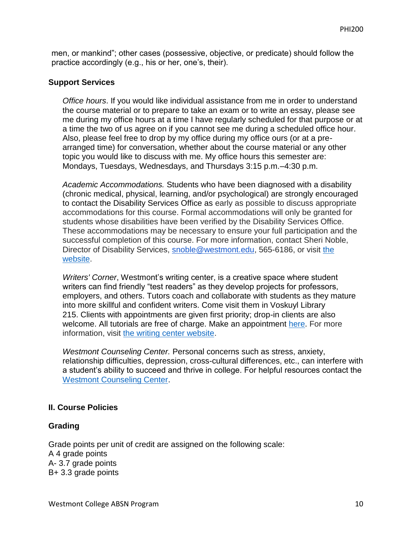men, or mankind"; other cases (possessive, objective, or predicate) should follow the practice accordingly (e.g., his or her, one's, their).

#### **Support Services**

*Office hours*. If you would like individual assistance from me in order to understand the course material or to prepare to take an exam or to write an essay, please see me during my office hours at a time I have regularly scheduled for that purpose or at a time the two of us agree on if you cannot see me during a scheduled office hour. Also, please feel free to drop by my office during my office ours (or at a prearranged time) for conversation, whether about the course material or any other topic you would like to discuss with me. My office hours this semester are: Mondays, Tuesdays, Wednesdays, and Thursdays 3:15 p.m.–4:30 p.m.

*Academic Accommodations.* Students who have been diagnosed with a disability (chronic medical, physical, learning, and/or psychological) are strongly encouraged to contact the Disability Services Office as early as possible to discuss appropriate accommodations for this course. Formal accommodations will only be granted for students whose disabilities have been verified by the Disability Services Office. These accommodations may be necessary to ensure your full participation and the successful completion of this course. For more information, contact Sheri Noble, Director of Disability Services, [snoble@westmont.edu,](mailto:snoble@westmont.edu) 565-6186, or visit [the](http://www.westmont.edu/_offices/disability)  [website.](http://www.westmont.edu/_offices/disability)

*Writers' Corner*, Westmont's writing center, is a creative space where student writers can find friendly "test readers" as they develop projects for professors, employers, and others. Tutors coach and collaborate with students as they mature into more skillful and confident writers. Come visit them in Voskuyl Library 215. Clients with appointments are given first priority; drop-in clients are also welcome. All tutorials are free of charge. Make an appointment [here.](https://westmont.mywconline.com/) For more information, visit [the writing center website.](http://www.westmont.edu/_academics/departments/english/writers-corner.html)

*Westmont Counseling Center.* Personal concerns such as stress, anxiety, relationship difficulties, depression, cross-cultural differences, etc., can interfere with a student's ability to succeed and thrive in college. For helpful resources contact the [Westmont Counseling Center.](http://www.westmont.edu/_offices/counseling/)

#### **II. Course Policies**

#### **Grading**

Grade points per unit of credit are assigned on the following scale: A 4 grade points A- 3.7 grade points B+ 3.3 grade points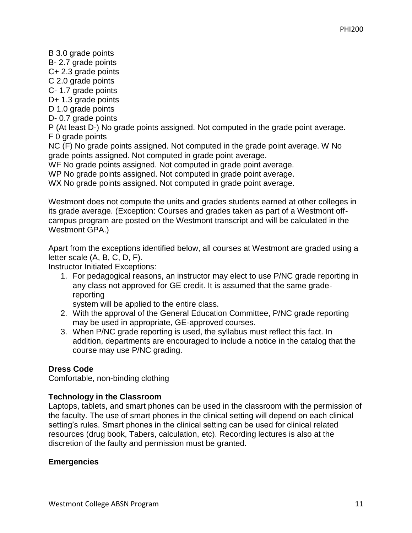B 3.0 grade points B- 2.7 grade points C+ 2.3 grade points C 2.0 grade points C- 1.7 grade points D+ 1.3 grade points D 1.0 grade points D- 0.7 grade points P (At least D-) No grade points assigned. Not computed in the grade point average. F 0 grade points NC (F) No grade points assigned. Not computed in the grade point average. W No grade points assigned. Not computed in grade point average. WF No grade points assigned. Not computed in grade point average.

WP No grade points assigned. Not computed in grade point average.

WX No grade points assigned. Not computed in grade point average.

Westmont does not compute the units and grades students earned at other colleges in its grade average. (Exception: Courses and grades taken as part of a Westmont offcampus program are posted on the Westmont transcript and will be calculated in the Westmont GPA.)

Apart from the exceptions identified below, all courses at Westmont are graded using a letter scale (A, B, C, D, F).

Instructor Initiated Exceptions:

1. For pedagogical reasons, an instructor may elect to use P/NC grade reporting in any class not approved for GE credit. It is assumed that the same gradereporting

system will be applied to the entire class.

- 2. With the approval of the General Education Committee, P/NC grade reporting may be used in appropriate, GE-approved courses.
- 3. When P/NC grade reporting is used, the syllabus must reflect this fact. In addition, departments are encouraged to include a notice in the catalog that the course may use P/NC grading.

#### **Dress Code**

Comfortable, non-binding clothing

#### **Technology in the Classroom**

Laptops, tablets, and smart phones can be used in the classroom with the permission of the faculty. The use of smart phones in the clinical setting will depend on each clinical setting's rules. Smart phones in the clinical setting can be used for clinical related resources (drug book, Tabers, calculation, etc). Recording lectures is also at the discretion of the faulty and permission must be granted.

#### **Emergencies**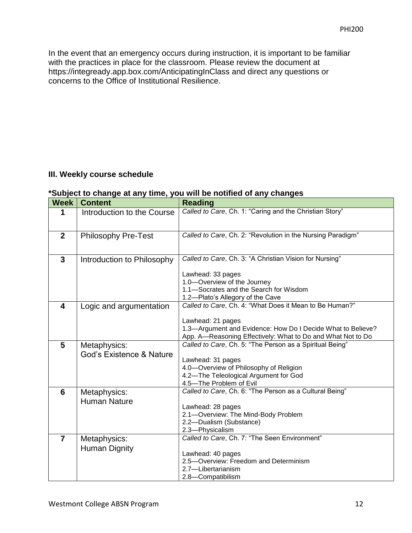In the event that an emergency occurs during instruction, it is important to be familiar with the practices in place for the classroom. Please review the document at https://integready.app.box.com/AnticipatingInClass and direct any questions or concerns to the Office of Institutional Resilience.

#### **III. Weekly course schedule**

#### **\*Subject to change at any time, you will be notified of any changes**

| <b>Week</b>    | <b>Content</b>             | <b>Reading</b>                                                   |
|----------------|----------------------------|------------------------------------------------------------------|
| 1              | Introduction to the Course | Called to Care, Ch. 1: "Caring and the Christian Story"          |
|                |                            |                                                                  |
| $\overline{2}$ | <b>Philosophy Pre-Test</b> | Called to Care, Ch. 2: "Revolution in the Nursing Paradigm"      |
|                |                            |                                                                  |
| 3              | Introduction to Philosophy | Called to Care, Ch. 3: "A Christian Vision for Nursing"          |
|                |                            | Lawhead: 33 pages                                                |
|                |                            | 1.0-Overview of the Journey                                      |
|                |                            | 1.1-Socrates and the Search for Wisdom                           |
|                |                            | 1.2-Plato's Allegory of the Cave                                 |
| 4              | Logic and argumentation    | Called to Care, Ch. 4: "What Does it Mean to Be Human?"          |
|                |                            |                                                                  |
|                |                            | Lawhead: 21 pages                                                |
|                |                            | 1.3-Argument and Evidence: How Do I Decide What to Believe?      |
|                |                            | App. A-Reasoning Effectively: What to Do and What Not to Do      |
| 5              | Metaphysics:               | Called to Care, Ch. 5: "The Person as a Spiritual Being"         |
|                | God's Existence & Nature   |                                                                  |
|                |                            | Lawhead: 31 pages                                                |
|                |                            | 4.0-Overview of Philosophy of Religion                           |
|                |                            | 4.2-The Teleological Argument for God                            |
|                |                            | 4.5-The Problem of Evil                                          |
| 6              | Metaphysics:               | Called to Care, Ch. 6: "The Person as a Cultural Being"          |
|                | <b>Human Nature</b>        |                                                                  |
|                |                            | Lawhead: 28 pages                                                |
|                |                            | 2.1-Overview: The Mind-Body Problem                              |
|                |                            | 2.2-Dualism (Substance)                                          |
|                |                            | 2.3-Physicalism<br>Called to Care, Ch. 7: "The Seen Environment" |
| $\overline{7}$ | Metaphysics:               |                                                                  |
|                | Human Dignity              | Lawhead: 40 pages                                                |
|                |                            | 2.5-Overview: Freedom and Determinism                            |
|                |                            | 2.7-Libertarianism                                               |
|                |                            | 2.8-Compatibilism                                                |
|                |                            |                                                                  |